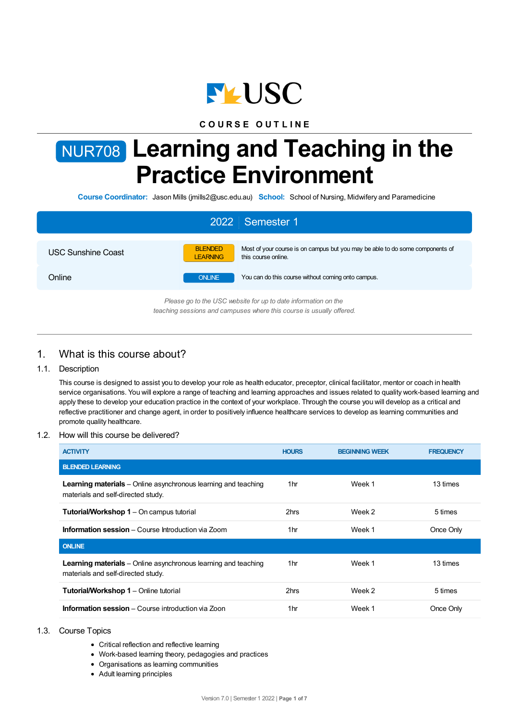

# **C O U R S E O U T L I N E**

# NUR708 **Learning and Teaching in the Practice Environment**

**Course Coordinator:** Jason Mills (jmills2@usc.edu.au) **School:** School of Nursing, Midwifery and Paramedicine

| 2022 Semester 1                                                                                                                        |                                                                                                                                           |  |  |  |
|----------------------------------------------------------------------------------------------------------------------------------------|-------------------------------------------------------------------------------------------------------------------------------------------|--|--|--|
| <b>USC Sunshine Coast</b>                                                                                                              | <b>BLENDED</b><br>Most of your course is on campus but you may be able to do some components of<br>this course online.<br><b>LEARNING</b> |  |  |  |
| Online                                                                                                                                 | You can do this course without coming onto campus.<br><b>ONLINE</b>                                                                       |  |  |  |
| Please go to the USC website for up to date information on the<br>teaching sessions and campuses where this course is usually offered. |                                                                                                                                           |  |  |  |

# 1. What is this course about?

## 1.1. Description

This course is designed to assist you to develop your role as health educator, preceptor, clinical facilitator, mentor or coach in health service organisations. You will explore a range of teaching and learning approaches and issues related to quality work-based learning and apply these to develop your education practice in the context of your workplace. Through the course you will develop as a critical and reflective practitioner and change agent, in order to positively influence healthcare services to develop as learning communities and promote quality healthcare.

#### 1.2. How will this course be delivered?

| <b>ACTIVITY</b>                                                                                             | <b>HOURS</b> | <b>BEGINNING WEEK</b> | <b>FREQUENCY</b> |
|-------------------------------------------------------------------------------------------------------------|--------------|-----------------------|------------------|
| <b>BLENDED LEARNING</b>                                                                                     |              |                       |                  |
| <b>Learning materials</b> – Online asynchronous learning and teaching<br>materials and self-directed study. | 1hr          | Week 1                | 13 times         |
| <b>Tutorial/Workshop 1</b> – On campus tutorial                                                             | 2hrs         | Week 2                | 5 times          |
| <b>Information session</b> – Course Introduction via Zoom                                                   | 1hr          | Week 1                | Once Only        |
| <b>ONLINE</b>                                                                                               |              |                       |                  |
| <b>Learning materials</b> – Online asynchronous learning and teaching<br>materials and self-directed study. | 1hr          | Week 1                | 13 times         |
| <b>Tutorial/Workshop 1</b> – Online tutorial                                                                | 2hrs         | Week 2                | 5 times          |
| <b>Information session</b> – Course introduction via Zoon                                                   | 1hr          | Week 1                | Once Only        |

- 1.3. Course Topics
	- Critical reflection and reflective learning
	- Work-based learning theory, pedagogies and practices
	- Organisations as learning communities
	- Adult learning principles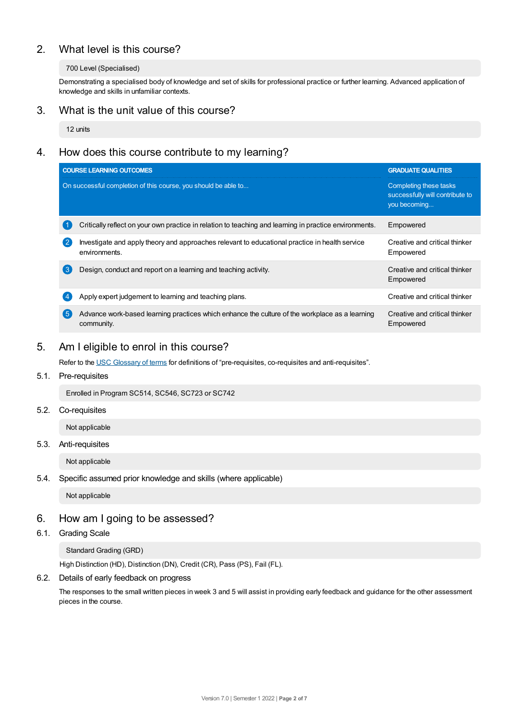# 2. What level is this course?

## 700 Level (Specialised)

Demonstrating a specialised body of knowledge and set of skills for professional practice or further learning. Advanced application of knowledge and skills in unfamiliar contexts.

# 3. What is the unit value of this course?

12 units

# 4. How does this course contribute to my learning?

| <b>COURSE LEARNING OUTCOMES</b>                                                                                                   | <b>GRADUATE QUALITIES</b>                                                 |  |
|-----------------------------------------------------------------------------------------------------------------------------------|---------------------------------------------------------------------------|--|
| On successful completion of this course, you should be able to                                                                    | Completing these tasks<br>successfully will contribute to<br>you becoming |  |
| Critically reflect on your own practice in relation to teaching and learning in practice environments.                            | Empowered                                                                 |  |
| $\overline{2}$<br>Investigate and apply theory and approaches relevant to educational practice in health service<br>environments. | Creative and critical thinker<br>Empowered                                |  |
| (ვ<br>Design, conduct and report on a learning and teaching activity.                                                             | Creative and critical thinker<br>Empowered                                |  |
| Apply expert judgement to learning and teaching plans.                                                                            | Creative and critical thinker                                             |  |
| 【5<br>Advance work-based learning practices which enhance the culture of the workplace as a learning<br>community.                | Creative and critical thinker<br>Empowered                                |  |

# 5. Am Ieligible to enrol in this course?

Refer to the USC [Glossary](https://www.usc.edu.au/about/policies-and-procedures/glossary-of-terms-for-policy-and-procedures) of terms for definitions of "pre-requisites, co-requisites and anti-requisites".

## 5.1. Pre-requisites

Enrolled in Program SC514, SC546, SC723 or SC742

## 5.2. Co-requisites

Not applicable

## 5.3. Anti-requisites

Not applicable

## 5.4. Specific assumed prior knowledge and skills (where applicable)

Not applicable

# 6. How am Igoing to be assessed?

# 6.1. Grading Scale

Standard Grading (GRD)

High Distinction (HD), Distinction (DN), Credit (CR), Pass (PS), Fail (FL).

## 6.2. Details of early feedback on progress

The responses to the small written pieces in week 3 and 5 will assist in providing early feedback and guidance for the other assessment pieces in the course.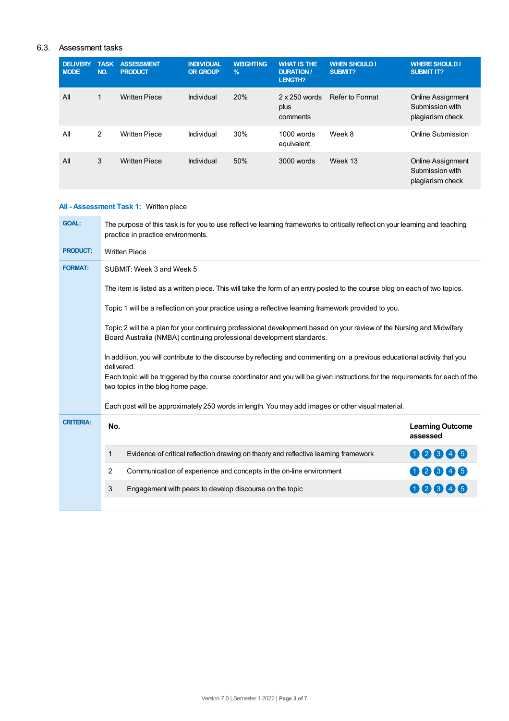## 6.3. Assessment tasks

| <b>DELIVERY</b><br><b>MODE</b> | <b>TASK</b><br>NO. | <b>ASSESSMENT</b><br><b>PRODUCT</b> | <b>INDIVIDUAL</b><br><b>OR GROUP</b> | <b>WEIGHTING</b><br>$\%$ | <b>WHAT IS THE</b><br><b>DURATION/</b><br>LENGTH? | <b>WHEN SHOULD I</b><br><b>SUBMIT?</b> | <b>WHERE SHOULD I</b><br><b>SUBMIT IT?</b>                      |
|--------------------------------|--------------------|-------------------------------------|--------------------------------------|--------------------------|---------------------------------------------------|----------------------------------------|-----------------------------------------------------------------|
| All                            | 1                  | <b>Written Piece</b>                | Individual                           | 20%                      | $2 \times 250$ words<br>plus<br>comments          | Refer to Format                        | <b>Online Assignment</b><br>Submission with<br>plagiarism check |
| All                            | 2                  | <b>Written Piece</b>                | Individual                           | 30%                      | $1000$ words<br>equivalent                        | Week 8                                 | Online Submission                                               |
| All                            | 3                  | <b>Written Piece</b>                | Individual                           | 50%                      | 3000 words                                        | Week 13                                | <b>Online Assignment</b><br>Submission with<br>plagiarism check |

# **All - Assessment Task 1:** Written piece

| <b>GOAL:</b>     | The purpose of this task is for you to use reflective learning frameworks to critically reflect on your learning and teaching<br>practice in practice environments.                                                                                                                                             |                                                                                                      |                                     |  |  |
|------------------|-----------------------------------------------------------------------------------------------------------------------------------------------------------------------------------------------------------------------------------------------------------------------------------------------------------------|------------------------------------------------------------------------------------------------------|-------------------------------------|--|--|
| <b>PRODUCT:</b>  | <b>Written Piece</b>                                                                                                                                                                                                                                                                                            |                                                                                                      |                                     |  |  |
| <b>FORMAT:</b>   | SUBMIT: Week 3 and Week 5                                                                                                                                                                                                                                                                                       |                                                                                                      |                                     |  |  |
|                  | The item is listed as a written piece. This will take the form of an entry posted to the course blog on each of two topics.                                                                                                                                                                                     |                                                                                                      |                                     |  |  |
|                  |                                                                                                                                                                                                                                                                                                                 | Topic 1 will be a reflection on your practice using a reflective learning framework provided to you. |                                     |  |  |
|                  | Topic 2 will be a plan for your continuing professional development based on your review of the Nursing and Midwifery<br>Board Australia (NMBA) continuing professional development standards.                                                                                                                  |                                                                                                      |                                     |  |  |
|                  | In addition, you will contribute to the discourse by reflecting and commenting on a previous educational activity that you<br>delivered.<br>Each topic will be triggered by the course coordinator and you will be given instructions for the requirements for each of the<br>two topics in the blog home page. |                                                                                                      |                                     |  |  |
|                  | Each post will be approximately 250 words in length. You may add images or other visual material.                                                                                                                                                                                                               |                                                                                                      |                                     |  |  |
| <b>CRITERIA:</b> | No.                                                                                                                                                                                                                                                                                                             |                                                                                                      | <b>Learning Outcome</b><br>assessed |  |  |
|                  | 1                                                                                                                                                                                                                                                                                                               | Evidence of critical reflection drawing on theory and reflective learning framework                  | 00006                               |  |  |
|                  | $\overline{2}$                                                                                                                                                                                                                                                                                                  | Communication of experience and concepts in the on-line environment                                  | 00006                               |  |  |
|                  | 3                                                                                                                                                                                                                                                                                                               | Engagement with peers to develop discourse on the topic                                              | 00005                               |  |  |
|                  |                                                                                                                                                                                                                                                                                                                 |                                                                                                      |                                     |  |  |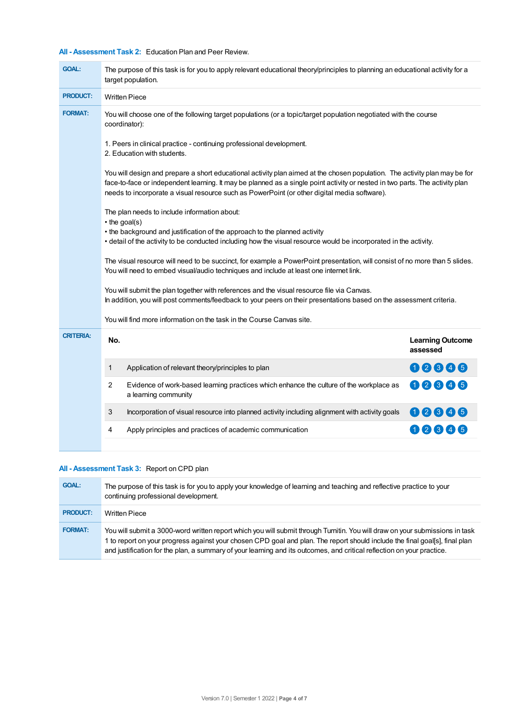# **All - Assessment Task 2:** Education Plan and Peer Review.

| <b>GOAL:</b>                                                                                                                                                                                                                                                     | The purpose of this task is for you to apply relevant educational theory/principles to planning an educational activity for a<br>target population.                                                                                                                                                                                                        |                                     |  |  |  |  |
|------------------------------------------------------------------------------------------------------------------------------------------------------------------------------------------------------------------------------------------------------------------|------------------------------------------------------------------------------------------------------------------------------------------------------------------------------------------------------------------------------------------------------------------------------------------------------------------------------------------------------------|-------------------------------------|--|--|--|--|
| <b>PRODUCT:</b>                                                                                                                                                                                                                                                  | <b>Written Piece</b>                                                                                                                                                                                                                                                                                                                                       |                                     |  |  |  |  |
| <b>FORMAT:</b>                                                                                                                                                                                                                                                   | You will choose one of the following target populations (or a topic/target population negotiated with the course<br>coordinator):                                                                                                                                                                                                                          |                                     |  |  |  |  |
|                                                                                                                                                                                                                                                                  | 1. Peers in clinical practice - continuing professional development.<br>2. Education with students.                                                                                                                                                                                                                                                        |                                     |  |  |  |  |
|                                                                                                                                                                                                                                                                  | You will design and prepare a short educational activity plan aimed at the chosen population. The activity plan may be for<br>face-to-face or independent learning. It may be planned as a single point activity or nested in two parts. The activity plan<br>needs to incorporate a visual resource such as PowerPoint (or other digital media software). |                                     |  |  |  |  |
| The plan needs to include information about:<br>• the goal(s)<br>• the background and justification of the approach to the planned activity<br>• detail of the activity to be conducted including how the visual resource would be incorporated in the activity. |                                                                                                                                                                                                                                                                                                                                                            |                                     |  |  |  |  |
|                                                                                                                                                                                                                                                                  | The visual resource will need to be succinct, for example a PowerPoint presentation, will consist of no more than 5 slides.                                                                                                                                                                                                                                |                                     |  |  |  |  |
|                                                                                                                                                                                                                                                                  | You will submit the plan together with references and the visual resource file via Canvas.<br>In addition, you will post comments/feedback to your peers on their presentations based on the assessment criteria.                                                                                                                                          |                                     |  |  |  |  |
|                                                                                                                                                                                                                                                                  | You will find more information on the task in the Course Canvas site.                                                                                                                                                                                                                                                                                      |                                     |  |  |  |  |
| <b>CRITERIA:</b>                                                                                                                                                                                                                                                 | No.                                                                                                                                                                                                                                                                                                                                                        | <b>Learning Outcome</b><br>assessed |  |  |  |  |
|                                                                                                                                                                                                                                                                  | Application of relevant theory/principles to plan<br>1                                                                                                                                                                                                                                                                                                     | 00006                               |  |  |  |  |
|                                                                                                                                                                                                                                                                  | $\overline{2}$<br>Evidence of work-based learning practices which enhance the culture of the workplace as<br>a learning community                                                                                                                                                                                                                          | 00606                               |  |  |  |  |
|                                                                                                                                                                                                                                                                  | 3<br>Incorporation of visual resource into planned activity including alignment with activity goals                                                                                                                                                                                                                                                        | 00006                               |  |  |  |  |
|                                                                                                                                                                                                                                                                  | Apply principles and practices of academic communication<br>4                                                                                                                                                                                                                                                                                              | 00606                               |  |  |  |  |
|                                                                                                                                                                                                                                                                  |                                                                                                                                                                                                                                                                                                                                                            |                                     |  |  |  |  |

# **All - Assessment Task 3:** Report on CPD plan

| <b>GOAL:</b>    | The purpose of this task is for you to apply your knowledge of learning and teaching and reflective practice to your<br>continuing professional development.                                                                                                                                                                                                                          |
|-----------------|---------------------------------------------------------------------------------------------------------------------------------------------------------------------------------------------------------------------------------------------------------------------------------------------------------------------------------------------------------------------------------------|
| <b>PRODUCT:</b> | Written Piece                                                                                                                                                                                                                                                                                                                                                                         |
| <b>FORMAT:</b>  | You will submit a 3000-word written report which you will submit through Turnitin. You will draw on your submissions in task<br>1 to report on your progress against your chosen CPD goal and plan. The report should include the final goal[s], final plan<br>and justification for the plan, a summary of your learning and its outcomes, and critical reflection on your practice. |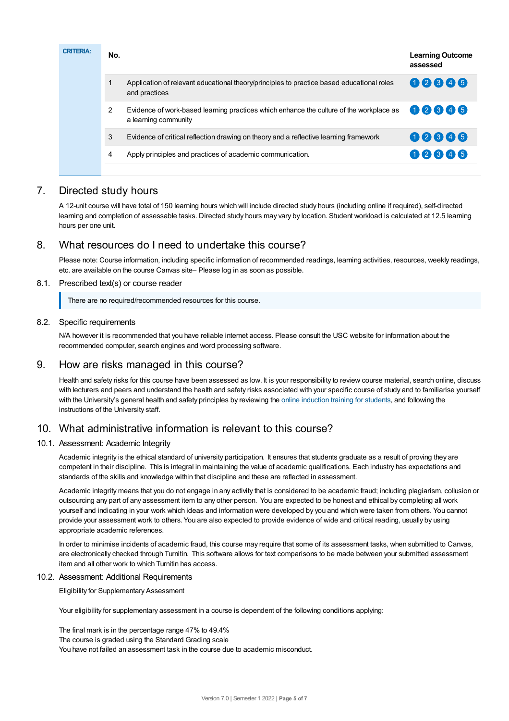| <b>CRITERIA:</b> | No.            |                                                                                                                 | <b>Learning Outcome</b><br>assessed |
|------------------|----------------|-----------------------------------------------------------------------------------------------------------------|-------------------------------------|
|                  |                | Application of relevant educational theory/principles to practice based educational roles<br>and practices      | 00846                               |
|                  | $\overline{2}$ | Evidence of work-based learning practices which enhance the culture of the workplace as<br>a learning community | 00806                               |
|                  | 3              | Evidence of critical reflection drawing on theory and a reflective learning framework                           | 00806                               |
|                  | 4              | Apply principles and practices of academic communication.                                                       | 02646                               |

# 7. Directed study hours

A 12-unit course will have total of 150 learning hours which will include directed study hours (including online if required), self-directed learning and completion of assessable tasks. Directed study hours may vary by location. Student workload is calculated at 12.5 learning hours per one unit.

# 8. What resources do I need to undertake this course?

Please note: Course information, including specific information of recommended readings, learning activities, resources, weekly readings, etc. are available on the course Canvas site– Please log in as soon as possible.

## 8.1. Prescribed text(s) or course reader

There are no required/recommended resources for this course.

### 8.2. Specific requirements

N/A however it is recommended that you have reliable internet access. Please consult the USC website for information about the recommended computer, search engines and word processing software.

# 9. How are risks managed in this course?

Health and safety risks for this course have been assessed as low. It is your responsibility to review course material, search online, discuss with lecturers and peers and understand the health and safety risks associated with your specific course of study and to familiarise yourself with the University's general health and safety principles by reviewing the online [induction](https://online.usc.edu.au/webapps/blackboard/content/listContentEditable.jsp?content_id=_632657_1&course_id=_14432_1) training for students, and following the instructions of the University staff.

# 10. What administrative information is relevant to this course?

## 10.1. Assessment: Academic Integrity

Academic integrity is the ethical standard of university participation. It ensures that students graduate as a result of proving they are competent in their discipline. This is integral in maintaining the value of academic qualifications. Each industry has expectations and standards of the skills and knowledge within that discipline and these are reflected in assessment.

Academic integrity means that you do not engage in any activity that is considered to be academic fraud; including plagiarism, collusion or outsourcing any part of any assessment item to any other person. You are expected to be honest and ethical by completing all work yourself and indicating in your work which ideas and information were developed by you and which were taken from others. You cannot provide your assessment work to others.You are also expected to provide evidence of wide and critical reading, usually by using appropriate academic references.

In order to minimise incidents of academic fraud, this course may require that some of its assessment tasks, when submitted to Canvas, are electronically checked through Turnitin. This software allows for text comparisons to be made between your submitted assessment item and all other work to which Turnitin has access.

## 10.2. Assessment: Additional Requirements

Eligibility for Supplementary Assessment

Your eligibility for supplementary assessment in a course is dependent of the following conditions applying:

The final mark is in the percentage range 47% to 49.4% The course is graded using the Standard Grading scale You have not failed an assessment task in the course due to academic misconduct.